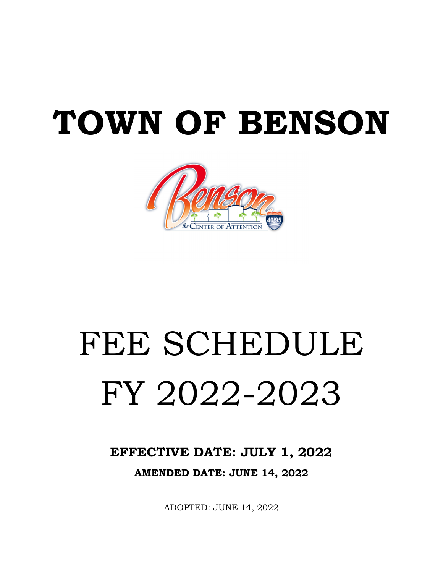# **TOWN OF BENSON**



# FEE SCHEDULE FY 2022-2023

**EFFECTIVE DATE: JULY 1, 2022 AMENDED DATE: JUNE 14, 2022**

ADOPTED: JUNE 14, 2022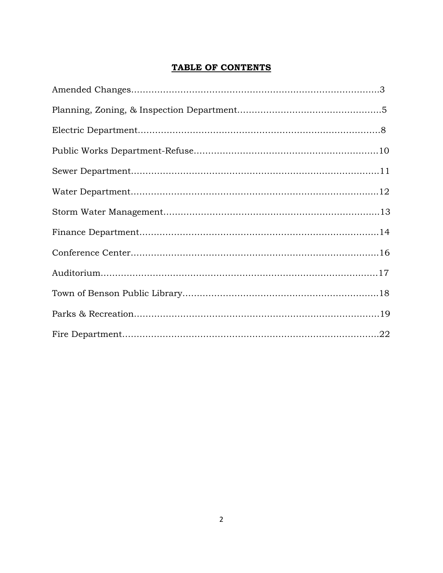# **TABLE OF CONTENTS**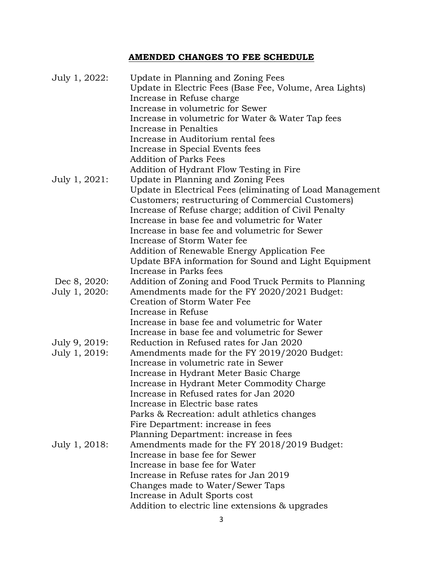# **AMENDED CHANGES TO FEE SCHEDULE**

| July 1, 2022: | Update in Planning and Zoning Fees                        |
|---------------|-----------------------------------------------------------|
|               | Update in Electric Fees (Base Fee, Volume, Area Lights)   |
|               | Increase in Refuse charge                                 |
|               | Increase in volumetric for Sewer                          |
|               | Increase in volumetric for Water & Water Tap fees         |
|               | Increase in Penalties                                     |
|               | Increase in Auditorium rental fees                        |
|               | Increase in Special Events fees                           |
|               | <b>Addition of Parks Fees</b>                             |
|               | Addition of Hydrant Flow Testing in Fire                  |
| July 1, 2021: | Update in Planning and Zoning Fees                        |
|               | Update in Electrical Fees (eliminating of Load Management |
|               | Customers; restructuring of Commercial Customers)         |
|               | Increase of Refuse charge; addition of Civil Penalty      |
|               | Increase in base fee and volumetric for Water             |
|               | Increase in base fee and volumetric for Sewer             |
|               | Increase of Storm Water fee                               |
|               | Addition of Renewable Energy Application Fee              |
|               | Update BFA information for Sound and Light Equipment      |
|               | Increase in Parks fees                                    |
| Dec 8, 2020:  | Addition of Zoning and Food Truck Permits to Planning     |
| July 1, 2020: | Amendments made for the FY 2020/2021 Budget:              |
|               | Creation of Storm Water Fee                               |
|               | Increase in Refuse                                        |
|               | Increase in base fee and volumetric for Water             |
|               | Increase in base fee and volumetric for Sewer             |
| July 9, 2019: | Reduction in Refused rates for Jan 2020                   |
| July 1, 2019: | Amendments made for the FY 2019/2020 Budget:              |
|               | Increase in volumetric rate in Sewer                      |
|               | Increase in Hydrant Meter Basic Charge                    |
|               | Increase in Hydrant Meter Commodity Charge                |
|               | Increase in Refused rates for Jan 2020                    |
|               | Increase in Electric base rates                           |
|               | Parks & Recreation: adult athletics changes               |
|               | Fire Department: increase in fees                         |
|               | Planning Department: increase in fees                     |
| July 1, 2018: | Amendments made for the FY 2018/2019 Budget:              |
|               | Increase in base fee for Sewer                            |
|               | Increase in base fee for Water                            |
|               | Increase in Refuse rates for Jan 2019                     |
|               | Changes made to Water/Sewer Taps                          |
|               | Increase in Adult Sports cost                             |
|               | Addition to electric line extensions & upgrades           |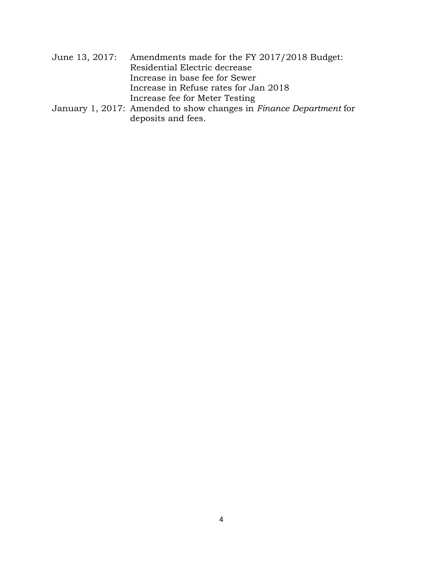| June 13, 2017: Amendments made for the FY 2017/2018 Budget: |
|-------------------------------------------------------------|
| Residential Electric decrease                               |
| Increase in base fee for Sewer                              |
| Increase in Refuse rates for Jan 2018                       |
| Increase fee for Meter Testing                              |
|                                                             |

January 1, 2017: Amended to show changes in *Finance Department* for deposits and fees.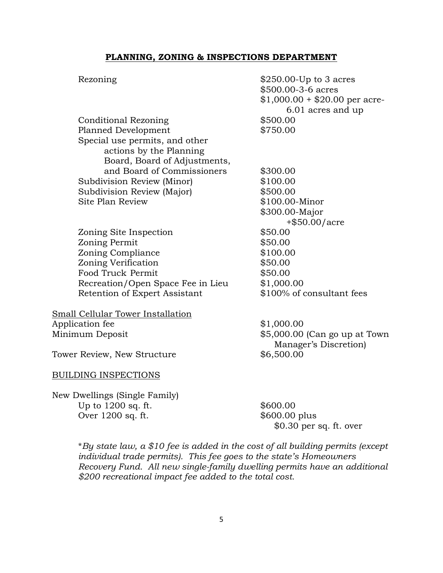#### **PLANNING, ZONING & INSPECTIONS DEPARTMENT**

| Rezoning                          | $$250.00$ -Up to 3 acres<br>\$500.00-3-6 acres<br>$$1,000.00 + $20.00$ per acre- |
|-----------------------------------|----------------------------------------------------------------------------------|
|                                   | 6.01 acres and up                                                                |
| <b>Conditional Rezoning</b>       | \$500.00                                                                         |
| Planned Development               | \$750.00                                                                         |
| Special use permits, and other    |                                                                                  |
| actions by the Planning           |                                                                                  |
| Board, Board of Adjustments,      |                                                                                  |
| and Board of Commissioners        | \$300.00                                                                         |
| Subdivision Review (Minor)        | \$100.00                                                                         |
| Subdivision Review (Major)        | \$500.00                                                                         |
| Site Plan Review                  | \$100.00-Minor                                                                   |
|                                   | \$300.00-Major                                                                   |
|                                   | $+$ \$50.00/acre                                                                 |
| Zoning Site Inspection            | \$50.00                                                                          |
| Zoning Permit                     | \$50.00                                                                          |
| Zoning Compliance                 | \$100.00                                                                         |
| Zoning Verification               | \$50.00                                                                          |
| Food Truck Permit                 | \$50.00                                                                          |
| Recreation/Open Space Fee in Lieu | \$1,000.00                                                                       |
| Retention of Expert Assistant     | \$100% of consultant fees                                                        |
| Small Cellular Tower Installation |                                                                                  |
| Application fee                   | \$1,000.00                                                                       |
| Minimum Deposit                   | \$5,000.00 (Can go up at Town)<br>Manager's Discretion)                          |
| Tower Review, New Structure       | \$6,500.00                                                                       |
| <b>BUILDING INSPECTIONS</b>       |                                                                                  |

New Dwellings (Single Family) Up to 1200 sq. ft. \$600.00<br>Over 1200 sq. ft. \$600.00 plus Over  $1200$  sq. ft.

\$0.30 per sq. ft. over

\**By state law, a \$10 fee is added in the cost of all building permits (except individual trade permits). This fee goes to the state's Homeowners Recovery Fund. All new single-family dwelling permits have an additional \$200 recreational impact fee added to the total cost.*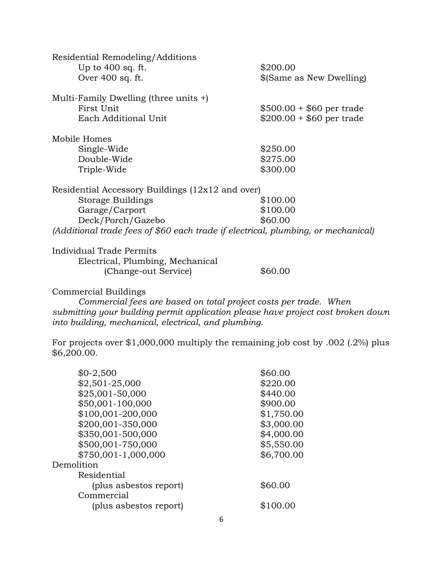| Residential Remodeling/Additions                                                  |                           |
|-----------------------------------------------------------------------------------|---------------------------|
| Up to $400$ sq. ft.                                                               | \$200.00                  |
| Over 400 sq. ft.                                                                  | \$(Same as New Dwelling)  |
| Multi-Family Dwelling (three units $+$ )                                          |                           |
| First Unit                                                                        | $$500.00 + $60$ per trade |
| Each Additional Unit                                                              | $$200.00 + $60$ per trade |
| Mobile Homes                                                                      |                           |
| Single-Wide                                                                       | \$250.00                  |
| Double-Wide                                                                       | \$275.00                  |
| Triple-Wide                                                                       | \$300.00                  |
| Residential Accessory Buildings (12x12 and over)                                  |                           |
| Storage Buildings                                                                 | \$100.00                  |
| Garage/Carport                                                                    | \$100.00                  |
| Deck/Porch/Gazebo                                                                 | \$60.00                   |
| (Additional trade fees of \$60 each trade if electrical, plumbing, or mechanical) |                           |
| Individual Trade Permits                                                          |                           |

| Electrical, Plumbing, Mechanical |         |
|----------------------------------|---------|
| (Change-out Service)             | \$60.00 |

### Commercial Buildings

*Commercial fees are based on total project costs per trade. When submitting your building permit application please have project cost broken down into building, mechanical, electrical, and plumbing.* 

For projects over \$1,000,000 multiply the remaining job cost by .002 (.2%) plus \$6,200.00.

| $$0-2,500$             | \$60.00    |
|------------------------|------------|
| \$2,501-25,000         | \$220.00   |
| \$25,001-50,000        | \$440.00   |
| \$50,001-100,000       | \$900.00   |
| \$100,001-200,000      | \$1,750.00 |
| \$200,001-350,000      | \$3,000.00 |
| \$350,001-500,000      | \$4,000.00 |
| \$500,001-750,000      | \$5,550.00 |
| \$750,001-1,000,000    | \$6,700.00 |
| Demolition             |            |
| Residential            |            |
| (plus asbestos report) | \$60.00    |
| Commercial             |            |
| (plus asbestos report) | \$100.00   |
|                        |            |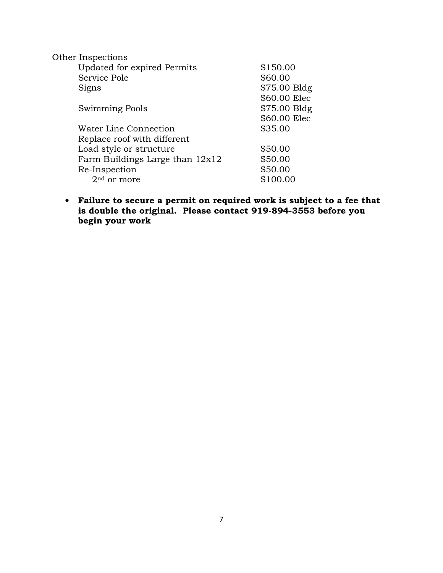| \$150.00     |
|--------------|
| \$60.00      |
| \$75.00 Bldg |
| \$60.00 Elec |
| \$75.00 Bldg |
| \$60.00 Elec |
| \$35.00      |
|              |
| \$50.00      |
| \$50.00      |
| \$50.00      |
| \$100.00     |
|              |

• **Failure to secure a permit on required work is subject to a fee that is double the original. Please contact 919-894-3553 before you begin your work**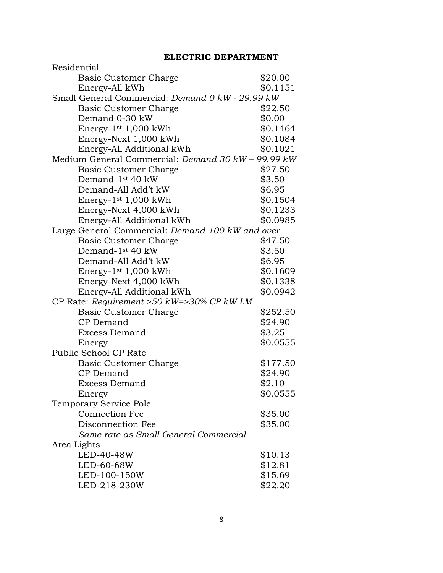# **ELECTRIC DEPARTMENT**

| Residential                                        |          |
|----------------------------------------------------|----------|
| <b>Basic Customer Charge</b>                       | \$20.00  |
| Energy-All kWh                                     | \$0.1151 |
| Small General Commercial: Demand 0 kW - 29.99 kW   |          |
| Basic Customer Charge                              | \$22.50  |
| Demand 0-30 kW                                     | \$0.00   |
| Energy- $1st 1,000$ kWh                            | \$0.1464 |
| Energy-Next 1,000 kWh                              | \$0.1084 |
| Energy-All Additional kWh                          | \$0.1021 |
| Medium General Commercial: Demand 30 kW - 99.99 kW |          |
| Basic Customer Charge                              | \$27.50  |
| Demand-1 <sup>st</sup> 40 kW                       | \$3.50   |
| Demand-All Add't kW                                | \$6.95   |
| Energy- $1st 1,000$ kWh                            | \$0.1504 |
| Energy-Next 4,000 kWh                              | \$0.1233 |
| Energy-All Additional kWh                          | \$0.0985 |
| Large General Commercial: Demand 100 kW and over   |          |
| <b>Basic Customer Charge</b>                       | \$47.50  |
| Demand-1 <sup>st</sup> 40 kW                       | \$3.50   |
| Demand-All Add't kW                                | \$6.95   |
| Energy-1 <sup>st</sup> 1,000 kWh                   | \$0.1609 |
| Energy-Next 4,000 kWh                              | \$0.1338 |
| Energy-All Additional kWh                          | \$0.0942 |
| CP Rate: Requirement >50 kW=>30% CP kW LM          |          |
| <b>Basic Customer Charge</b>                       | \$252.50 |
| CP Demand                                          | \$24.90  |
| <b>Excess Demand</b>                               | \$3.25   |
| Energy                                             | \$0.0555 |
| Public School CP Rate                              |          |
| <b>Basic Customer Charge</b>                       | \$177.50 |
| CP Demand                                          | \$24.90  |
| <b>Excess Demand</b>                               | \$2.10   |
| Energy                                             | \$0.0555 |
| Temporary Service Pole                             |          |
| <b>Connection Fee</b>                              | \$35.00  |
| Disconnection Fee                                  | \$35.00  |
| Same rate as Small General Commercial              |          |
| Area Lights                                        |          |
| LED-40-48W                                         | \$10.13  |
| LED-60-68W                                         | \$12.81  |
| LED-100-150W                                       | \$15.69  |
| LED-218-230W                                       | \$22.20  |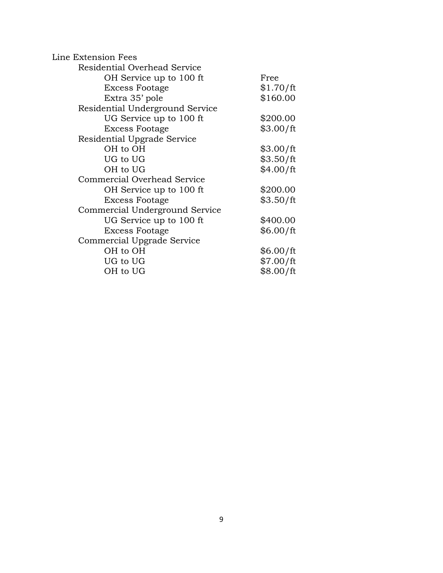| Line Extension Fees             |           |
|---------------------------------|-----------|
| Residential Overhead Service    |           |
| OH Service up to 100 ft         | Free      |
| <b>Excess Footage</b>           | \$1.70/ft |
| Extra 35' pole                  | \$160.00  |
| Residential Underground Service |           |
| UG Service up to 100 ft         | \$200.00  |
| <b>Excess Footage</b>           | \$3.00/ft |
| Residential Upgrade Service     |           |
| OH to OH                        | \$3.00/ft |
| UG to UG                        | \$3.50/ft |
| OH to UG                        | \$4.00/ft |
| Commercial Overhead Service     |           |
| OH Service up to 100 ft         | \$200.00  |
| <b>Excess Footage</b>           | \$3.50/ft |
| Commercial Underground Service  |           |
| UG Service up to 100 ft         | \$400.00  |
| <b>Excess Footage</b>           | \$6.00/ft |
| Commercial Upgrade Service      |           |
| OH to OH                        | \$6.00/ft |
| UG to UG                        | \$7.00/ft |
| OH to UG                        | \$8.00/ft |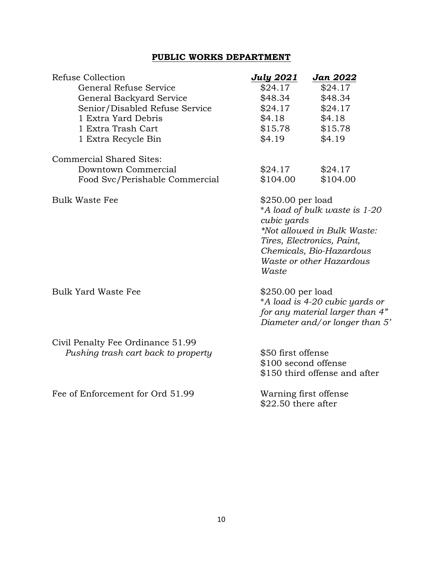# **PUBLIC WORKS DEPARTMENT**

| Refuse Collection                   | <u>July 2021</u>                                                                                                          | <b>Jan 2022</b>                                                                                                                                    |
|-------------------------------------|---------------------------------------------------------------------------------------------------------------------------|----------------------------------------------------------------------------------------------------------------------------------------------------|
| General Refuse Service              | \$24.17                                                                                                                   | \$24.17                                                                                                                                            |
| General Backyard Service            | \$48.34                                                                                                                   | \$48.34                                                                                                                                            |
| Senior/Disabled Refuse Service      | \$24.17                                                                                                                   | \$24.17                                                                                                                                            |
| 1 Extra Yard Debris                 | \$4.18                                                                                                                    | \$4.18                                                                                                                                             |
| 1 Extra Trash Cart                  | \$15.78                                                                                                                   | \$15.78                                                                                                                                            |
| 1 Extra Recycle Bin                 | \$4.19                                                                                                                    | \$4.19                                                                                                                                             |
| Commercial Shared Sites:            |                                                                                                                           |                                                                                                                                                    |
| Downtown Commercial                 | \$24.17                                                                                                                   | \$24.17                                                                                                                                            |
| Food Svc/Perishable Commercial      | \$104.00                                                                                                                  | \$104.00                                                                                                                                           |
| <b>Bulk Waste Fee</b>               | \$250.00 per load<br>cubic yards<br>Waste                                                                                 | *A load of bulk waste is 1-20<br>*Not allowed in Bulk Waste:<br>Tires, Electronics, Paint,<br>Chemicals, Bio-Hazardous<br>Waste or other Hazardous |
| <b>Bulk Yard Waste Fee</b>          | $$250.00$ per load<br>*A load is 4-20 cubic yards or<br>for any material larger than 4"<br>Diameter and/or longer than 5' |                                                                                                                                                    |
| Civil Penalty Fee Ordinance 51.99   |                                                                                                                           |                                                                                                                                                    |
| Pushing trash cart back to property | \$50 first offense                                                                                                        |                                                                                                                                                    |
|                                     | \$100 second offense                                                                                                      |                                                                                                                                                    |
|                                     |                                                                                                                           | \$150 third offense and after                                                                                                                      |
| Fee of Enforcement for Ord 51.99    | Warning first offense                                                                                                     |                                                                                                                                                    |
|                                     | $$22.50$ there after                                                                                                      |                                                                                                                                                    |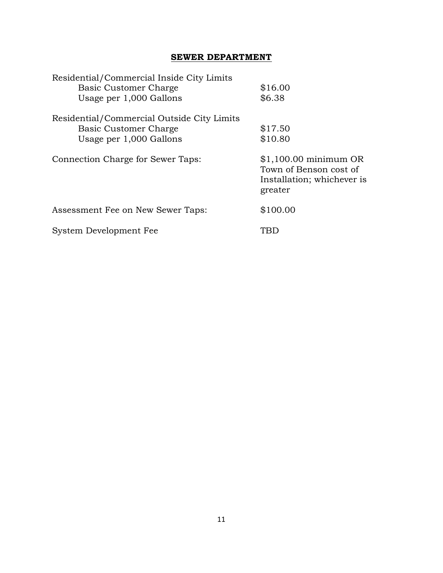# **SEWER DEPARTMENT**

| Residential/Commercial Inside City Limits  |                                                                                           |
|--------------------------------------------|-------------------------------------------------------------------------------------------|
| Basic Customer Charge                      | \$16.00                                                                                   |
| Usage per 1,000 Gallons                    | \$6.38                                                                                    |
| Residential/Commercial Outside City Limits |                                                                                           |
| Basic Customer Charge                      | \$17.50                                                                                   |
| Usage per 1,000 Gallons                    | \$10.80                                                                                   |
| Connection Charge for Sewer Taps:          | $$1,100.00$ minimum OR<br>Town of Benson cost of<br>Installation; whichever is<br>greater |
| Assessment Fee on New Sewer Taps:          | \$100.00                                                                                  |
| System Development Fee                     |                                                                                           |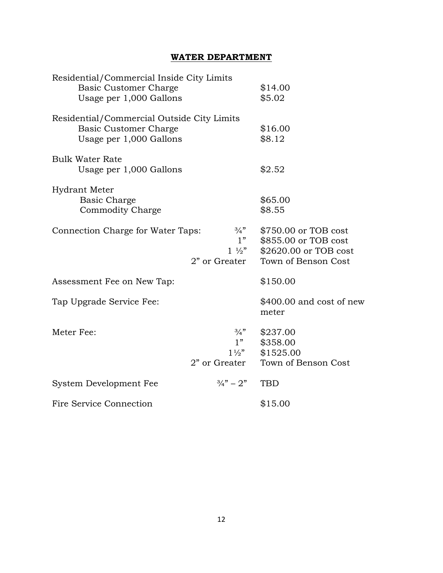# **WATER DEPARTMENT**

| Residential/Commercial Inside City Limits<br><b>Basic Customer Charge</b><br>Usage per 1,000 Gallons  |                                                          | \$14.00<br>\$5.02                                                                            |
|-------------------------------------------------------------------------------------------------------|----------------------------------------------------------|----------------------------------------------------------------------------------------------|
| Residential/Commercial Outside City Limits<br><b>Basic Customer Charge</b><br>Usage per 1,000 Gallons |                                                          | \$16.00<br>\$8.12                                                                            |
| <b>Bulk Water Rate</b><br>Usage per 1,000 Gallons                                                     |                                                          | \$2.52                                                                                       |
| Hydrant Meter<br>Basic Charge<br>Commodity Charge                                                     |                                                          | \$65.00<br>\$8.55                                                                            |
| Connection Charge for Water Taps:                                                                     | $\frac{3}{4}$ "<br>1"<br>$1\frac{1}{2}$<br>2" or Greater | \$750.00 or TOB cost<br>\$855.00 or TOB cost<br>\$2620.00 or TOB cost<br>Town of Benson Cost |
| Assessment Fee on New Tap:                                                                            |                                                          | \$150.00                                                                                     |
| Tap Upgrade Service Fee:                                                                              |                                                          | $$400.00$ and cost of new<br>meter                                                           |
| Meter Fee:                                                                                            | $\frac{3}{4}$ "<br>1"<br>$1\frac{1}{2}$<br>2" or Greater | \$237.00<br>\$358.00<br>\$1525.00<br>Town of Benson Cost                                     |
| System Development Fee                                                                                | $\frac{3}{4}$ " – 2"                                     | <b>TBD</b>                                                                                   |
| Fire Service Connection                                                                               |                                                          | \$15.00                                                                                      |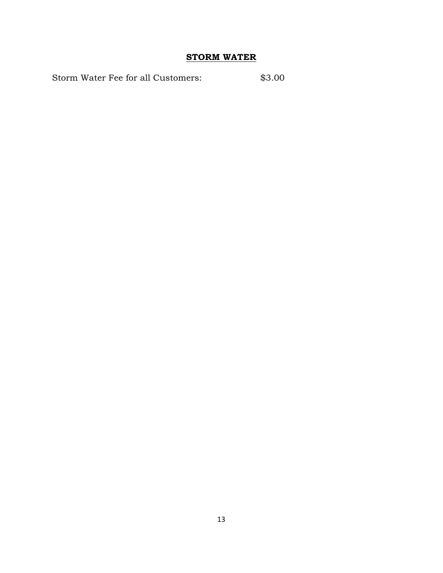# **STORM WATER**

Storm Water Fee for all Customers:  $$3.00$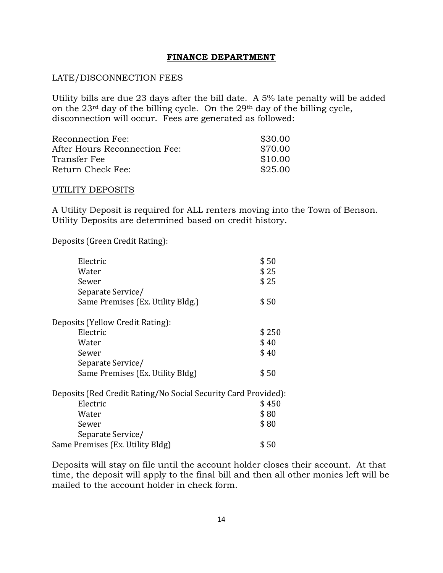#### **FINANCE DEPARTMENT**

#### LATE/DISCONNECTION FEES

Utility bills are due 23 days after the bill date. A 5% late penalty will be added on the 23rd day of the billing cycle. On the 29th day of the billing cycle, disconnection will occur. Fees are generated as followed:

| Reconnection Fee:             | \$30.00 |
|-------------------------------|---------|
| After Hours Reconnection Fee: | \$70.00 |
| Transfer Fee                  | \$10.00 |
| Return Check Fee:             | \$25.00 |

#### UTILITY DEPOSITS

A Utility Deposit is required for ALL renters moving into the Town of Benson. Utility Deposits are determined based on credit history.

Deposits (Green Credit Rating):

| Electric                                                       | \$50  |
|----------------------------------------------------------------|-------|
| Water                                                          | \$25  |
| Sewer                                                          | \$25  |
| Separate Service/                                              |       |
| Same Premises (Ex. Utility Bldg.)                              | \$50  |
| Deposits (Yellow Credit Rating):                               |       |
| Electric                                                       | \$250 |
| Water                                                          | \$40  |
| Sewer                                                          | \$40  |
| Separate Service/                                              |       |
| Same Premises (Ex. Utility Bldg)                               | \$50  |
| Deposits (Red Credit Rating/No Social Security Card Provided): |       |
| Electric                                                       | \$450 |
| Water                                                          | \$80  |
| Sewer                                                          | \$80  |
| Separate Service/                                              |       |
| Same Premises (Ex. Utility Bldg)                               | \$ 50 |
|                                                                |       |

Deposits will stay on file until the account holder closes their account. At that time, the deposit will apply to the final bill and then all other monies left will be mailed to the account holder in check form.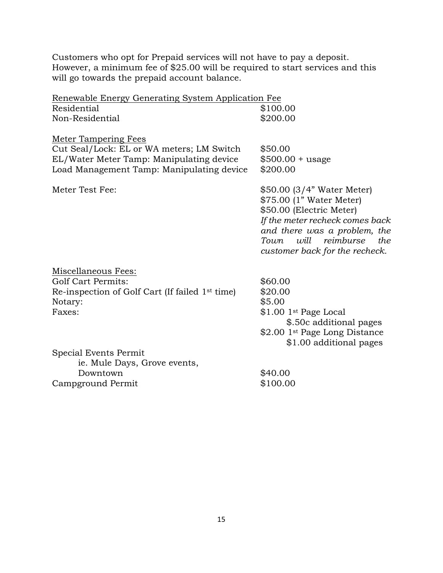Customers who opt for Prepaid services will not have to pay a deposit. However, a minimum fee of \$25.00 will be required to start services and this will go towards the prepaid account balance.

| Renewable Energy Generating System Application Fee          |                                                                                                                                                                                                                             |
|-------------------------------------------------------------|-----------------------------------------------------------------------------------------------------------------------------------------------------------------------------------------------------------------------------|
| Residential                                                 | \$100.00                                                                                                                                                                                                                    |
| Non-Residential                                             | \$200.00                                                                                                                                                                                                                    |
| <b>Meter Tampering Fees</b>                                 |                                                                                                                                                                                                                             |
| Cut Seal/Lock: EL or WA meters; LM Switch                   | \$50.00                                                                                                                                                                                                                     |
| EL/Water Meter Tamp: Manipulating device                    | $$500.00 + usage$                                                                                                                                                                                                           |
| Load Management Tamp: Manipulating device                   | \$200.00                                                                                                                                                                                                                    |
| Meter Test Fee:                                             | \$50.00 (3/4" Water Meter)<br>\$75.00 (1" Water Meter)<br>\$50.00 (Electric Meter)<br>If the meter recheck comes back<br>and there was a problem, the<br>will<br>reimburse<br>the<br>Town<br>customer back for the recheck. |
| Miscellaneous Fees:                                         |                                                                                                                                                                                                                             |
| <b>Golf Cart Permits:</b>                                   | \$60.00                                                                                                                                                                                                                     |
| Re-inspection of Golf Cart (If failed 1 <sup>st</sup> time) | \$20.00                                                                                                                                                                                                                     |
| Notary:                                                     | \$5.00                                                                                                                                                                                                                      |
| Faxes:                                                      | \$1.00 1 <sup>st</sup> Page Local                                                                                                                                                                                           |
|                                                             | \$.50c additional pages                                                                                                                                                                                                     |
|                                                             | \$2.00 1 <sup>st</sup> Page Long Distance                                                                                                                                                                                   |
|                                                             | \$1.00 additional pages                                                                                                                                                                                                     |
| Special Events Permit<br>ie. Mule Days, Grove events,       |                                                                                                                                                                                                                             |
| Downtown                                                    | \$40.00                                                                                                                                                                                                                     |
| Campground Permit                                           | \$100.00                                                                                                                                                                                                                    |
|                                                             |                                                                                                                                                                                                                             |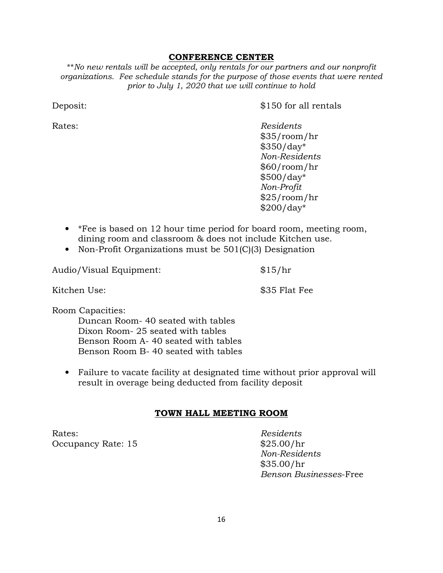#### **CONFERENCE CENTER**

\*\**No new rentals will be accepted, only rentals for our partners and our nonprofit organizations. Fee schedule stands for the purpose of those events that were rented prior to July 1, 2020 that we will continue to hold*

Deposit:  $$150$  for all rentals

Rates: *Residents* \$35/room/hr \$350/day\* *Non-Residents*  \$60/room/hr \$500/day\* *Non-Profit*  \$25/room/hr \$200/day\*

- \*Fee is based on 12 hour time period for board room, meeting room, dining room and classroom & does not include Kitchen use.
- Non-Profit Organizations must be 501(C)(3) Designation

Audio/Visual Equipment: \$15/hr

Kitchen Use:  $\$35$  Flat Fee

Room Capacities:

 Duncan Room- 40 seated with tables Dixon Room- 25 seated with tables Benson Room A- 40 seated with tables Benson Room B- 40 seated with tables

• Failure to vacate facility at designated time without prior approval will result in overage being deducted from facility deposit

#### **TOWN HALL MEETING ROOM**

Rates: *Residents*  Occupancy Rate: 15  $$25.00/hr$ 

 *Non-Residents* \$35.00/hr *Benson Businesses*-Free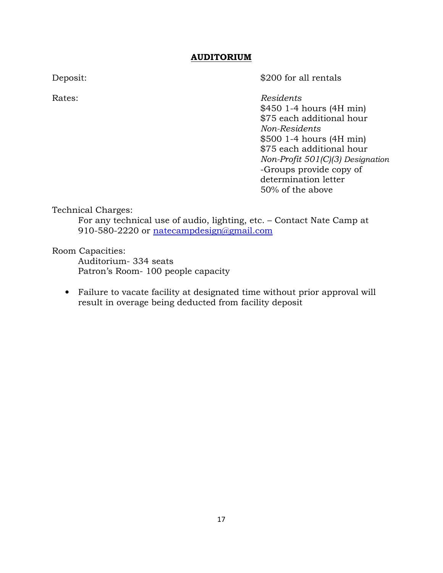#### **AUDITORIUM**

Deposit:  $$200$  for all rentals

Rates: *Residents* \$450 1-4 hours (4H min) \$75 each additional hour *Non-Residents*  \$500 1-4 hours (4H min) \$75 each additional hour *Non-Profit 501(C)(3) Designation* -Groups provide copy of determination letter 50% of the above

Technical Charges:

For any technical use of audio, lighting, etc. – Contact Nate Camp at 910-580-2220 or natecampdesign@gmail.com

Room Capacities:

 Auditorium- 334 seats Patron's Room- 100 people capacity

• Failure to vacate facility at designated time without prior approval will result in overage being deducted from facility deposit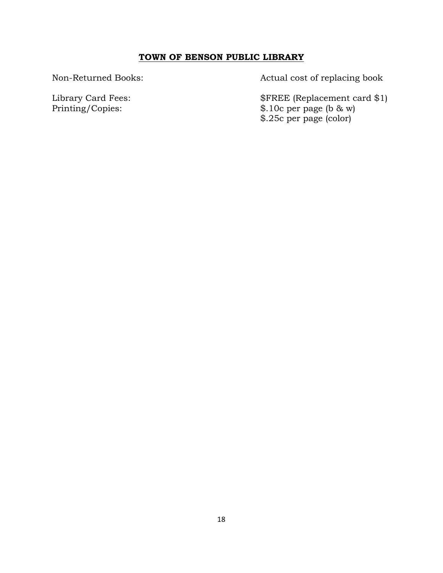# **TOWN OF BENSON PUBLIC LIBRARY**

Non-Returned Books: Actual cost of replacing book

Library Card Fees: \$FREE (Replacement card \$1)<br>Printing/Copies: \$.10c per page (b & w)  $$.10c$  per page (b & w) \$.25c per page (color)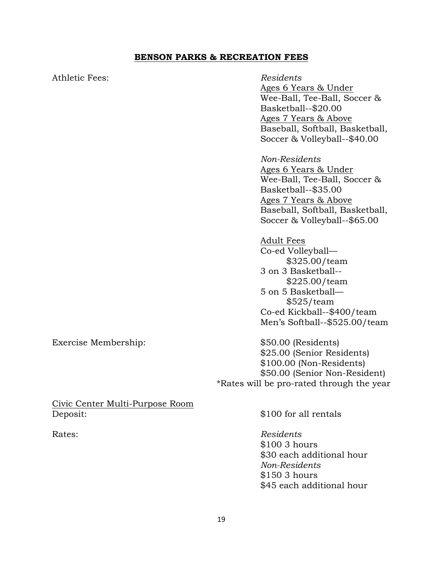#### **BENSON PARKS & RECREATION FEES**

Athletic Fees: *Residents* 

# Ages 6 Years & Under Wee-Ball, Tee-Ball, Soccer & Basketball--\$20.00 Ages 7 Years & Above Baseball, Softball, Basketball, Soccer & Volleyball--\$40.00

*Non-Residents* 

Ages 6 Years & Under Wee-Ball, Tee-Ball, Soccer & Basketball--\$35.00 Ages 7 Years & Above Baseball, Softball, Basketball, Soccer & Volleyball--\$65.00

Adult Fees Co-ed Volleyball— \$325.00/team 3 on 3 Basketball-- \$225.00/team 5 on 5 Basketball— \$525/team Co-ed Kickball--\$400/team Men's Softball--\$525.00/team

Exercise Membership:  $$50.00$  (Residents) \$25.00 (Senior Residents) \$100.00 (Non-Residents) \$50.00 (Senior Non-Resident) \*Rates will be pro-rated through the year

Civic Center Multi-Purpose Room Deposit:  $$100$  for all rentals

Rates: *Residents* \$100 3 hours \$30 each additional hour *Non-Residents*  \$150 3 hours \$45 each additional hour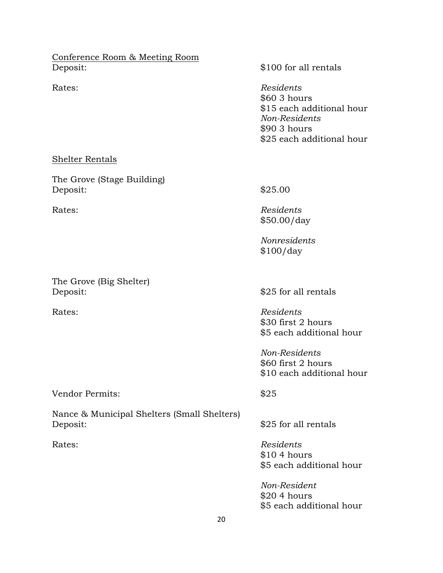Conference Room & Meeting Room Deposit:  $$100$  for all rentals

Rates: *Residents* \$60 3 hours \$15 each additional hour *Non-Residents*  \$90 3 hours \$25 each additional hour

#### Shelter Rentals

The Grove (Stage Building) Deposit:  $$25.00$ 

The Grove (Big Shelter) Deposit:  $$25$  for all rentals

Rates: *Residents* \$50.00/day

> *Nonresidents*  \$100/day

Rates: *Residents* \$30 first 2 hours \$5 each additional hour

> *Non-Residents*  \$60 first 2 hours \$10 each additional hour

Vendor Permits:  $$25$ 

Nance & Municipal Shelters (Small Shelters)

\$25 for all rentals

Rates: *Residents* \$10 4 hours \$5 each additional hour

> *Non-Resident*  \$20 4 hours \$5 each additional hour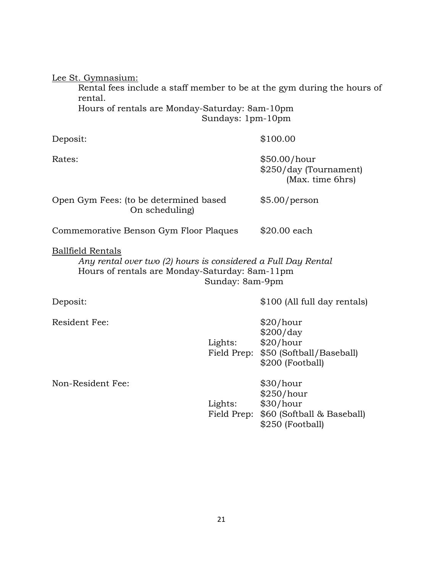| Lee St. Gymnasium:<br>Rental fees include a staff member to be at the gym during the hours of<br>rental.<br>Hours of rentals are Monday-Saturday: 8am-10pm<br>Sundays: 1pm-10pm |                        |                                                                                                 |  |  |
|---------------------------------------------------------------------------------------------------------------------------------------------------------------------------------|------------------------|-------------------------------------------------------------------------------------------------|--|--|
| Deposit:                                                                                                                                                                        |                        | \$100.00                                                                                        |  |  |
| Rates:                                                                                                                                                                          |                        | \$50.00/hour<br>\$250/day (Tournament)<br>(Max. time 6hrs)                                      |  |  |
| Open Gym Fees: (to be determined based<br>On scheduling)                                                                                                                        |                        | \$5.00/person                                                                                   |  |  |
| Commemorative Benson Gym Floor Plaques                                                                                                                                          |                        | $$20.00$ each                                                                                   |  |  |
| <b>Ballfield Rentals</b><br>Any rental over two (2) hours is considered a Full Day Rental<br>Hours of rentals are Monday-Saturday: 8am-11pm<br>Sunday: 8am-9pm                  |                        |                                                                                                 |  |  |
| Deposit:                                                                                                                                                                        |                        | \$100 (All full day rentals)                                                                    |  |  |
| <b>Resident Fee:</b>                                                                                                                                                            | Lights:                | \$20/hour<br>\$200/day<br>\$20/hour<br>Field Prep: \$50 (Softball/Baseball)<br>\$200 (Football) |  |  |
| Non-Resident Fee:                                                                                                                                                               | Lights:<br>Field Prep: | \$30/hour<br>\$250/hour<br>\$30/hour<br>\$60 (Softball & Baseball)<br>\$250 (Football)          |  |  |
|                                                                                                                                                                                 |                        |                                                                                                 |  |  |